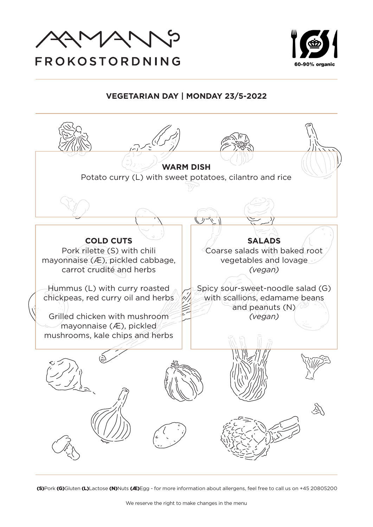



## **VEGETARIAN DAY | MONDAY 23/5-2022**

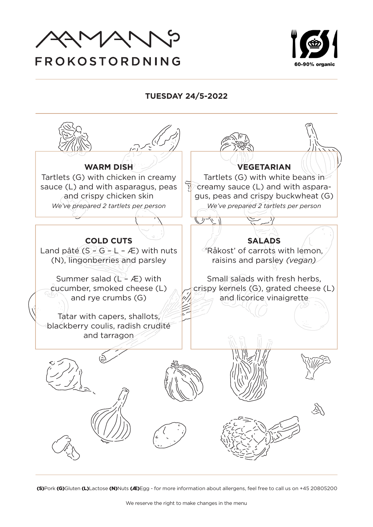



**TUESDAY 24/5-2022**

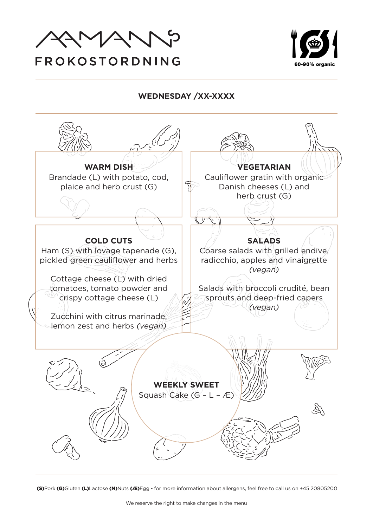



## **WEDNESDAY /XX-XXXX**